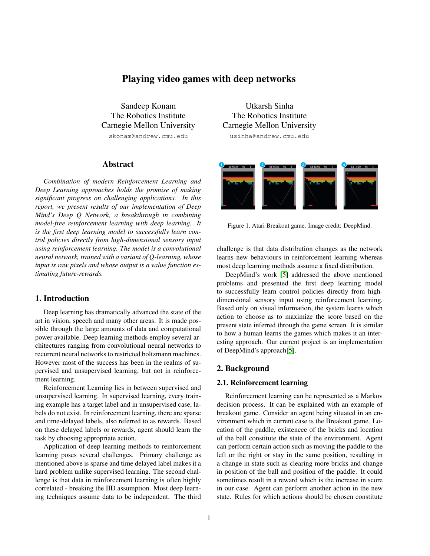# Playing video games with deep networks

Sandeep Konam The Robotics Institute Carnegie Mellon University skonam@andrew.cmu.edu

# Abstract

*Combination of modern Reinforcement Learning and Deep Learning approaches holds the promise of making significant progress on challenging applications. In this report, we present results of our implementation of Deep Mind's Deep Q Network, a breakthrough in combining model-free reinforcement learning with deep learning. It is the first deep learning model to successfully learn control policies directly from high-dimensional sensory input using reinforcement learning. The model is a convolutional neural network, trained with a variant of Q-learning, whose input is raw pixels and whose output is a value function estimating future-rewards.*

# 1. Introduction

Deep learning has dramatically advanced the state of the art in vision, speech and many other areas. It is made possible through the large amounts of data and computational power available. Deep learning methods employ several architectures ranging from convolutional neural networks to recurrent neural networks to restricted boltzmann machines. However most of the success has been in the realms of supervised and unsupervised learning, but not in reinforcement learning.

Reinforcement Learning lies in between supervised and unsupervised learning. In supervised learning, every training example has a target label and in unsupervised case, labels do not exist. In reinforcement learning, there are sparse and time-delayed labels, also referred to as rewards. Based on these delayed labels or rewards, agent should learn the task by choosing appropriate action.

Application of deep learning methods to reinforcement learning poses several challenges. Primary challenge as mentioned above is sparse and time delayed label makes it a hard problem unlike supervised learning. The second challenge is that data in reinforcement learning is often highly correlated - breaking the IID assumption. Most deep learning techniques assume data to be independent. The third

Utkarsh Sinha The Robotics Institute Carnegie Mellon University usinha@andrew.cmu.edu

 $\overline{\phantom{a}}$  nesses in  $\sqrt{25h-5}$  $\overline{\phantom{a}}$  Dbs s is

Figure 1. Atari Breakout game. Image credit: DeepMind.

challenge is that data distribution changes as the network learns new behaviours in reinforcement learning whereas most deep learning methods assume a fixed distribution.

DeepMind's work [\[5\]](#page-3-0) addressed the above mentioned problems and presented the first deep learning model to successfully learn control policies directly from highdimensional sensory input using reinforcement learning. Based only on visual information, the system learns which action to choose as to maximize the score based on the present state inferred through the game screen. It is similar to how a human learns the games which makes it an interesting approach. Our current project is an implementation of DeepMind's approach[\[5\]](#page-3-0).

# 2. Background

### 2.1. Reinforcement learning

Reinforcement learning can be represented as a Markov decision process. It can be explained with an example of breakout game. Consider an agent being situated in an environment which in current case is the Breakout game. Location of the paddle, existencce of the bricks and location of the ball constitute the state of the environment. Agent can perform certain action such as moving the paddle to the left or the right or stay in the same position, resulting in a change in state such as clearing more bricks and change in position of the ball and position of the paddle. It could sometimes result in a reward which is the increase in score in our case. Agent can perform another action in the new state. Rules for which actions should be chosen constitute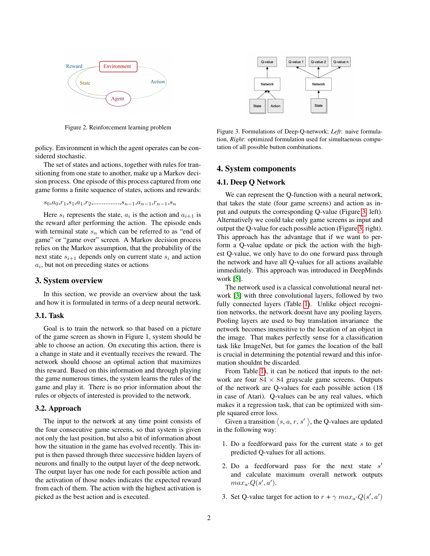

Figure 2. Reinforcement learning problem

policy. Environment in which the agent operates can be considered stochastic.

The set of states and actions, together with rules for transitioning from one state to another, make up a Markov decision process. One episode of this process captured from one game forms a finite sequence of states, actions and rewards:

 $s_0,a_0,r_1,s_1,a_1,r_2,\ldots,s_{n-1},a_{n-1},r_{n-1},s_n$ 

Here  $s_i$  represents the state,  $a_i$  is the action and  $a_{i+1}$  is the reward after performing the action. The episode ends with terminal state  $s_n$  which can be referred to as "end of game" or "game over" screen. A Markov decision process relies on the Markov assumption, that the probability of the next state  $s_{i+1}$  depends only on current state  $s_i$  and action  $a_i$ , but not on preceding states or actions

# 3. System overview

In this section, we provide an overview about the task and how it is formulated in terms of a deep neural network.

#### 3.1. Task

Goal is to train the network so that based on a picture of the game screen as shown in Figure 1, system should be able to choose an action. On executing this action, there is a change in state and it eventually receives the reward. The network should choose an optimal action that maximizes this reward. Based on this information and through playing the game numerous times, the system learns the rules of the game and play it. There is no prior information about the rules or objects of interested is provided to the network.

### 3.2. Approach

The input to the network at any time point consists of the four consecutive game screens, so that system is given not only the last position, but also a bit of information about how the situation in the game has evolved recently. This input is then passed through three successive hidden layers of neurons and finally to the output layer of the deep network. The output layer has one node for each possible action and the activation of those nodes indicates the expected reward from each of them. The action with the highest activation is picked as the best action and is executed.



<span id="page-1-0"></span>Figure 3. Formulations of Deep-Q-network; *Left*: naive formulation, *Right*: optimized formulation used for simultaenous computation of all possible button combinations.

# 4. System components

### 4.1. Deep Q Network

We can represent the Q-function with a neural network, that takes the state (four game screens) and action as input and outputs the corresponding Q-value (Figure [3,](#page-1-0) left). Alternatively we could take only game screens as input and output the Q-value for each possible action (Figure [3,](#page-1-0) right). This approach has the advantage that if we want to perform a Q-value update or pick the action with the highest Q-value, we only have to do one forward pass through the network and have all Q-values for all actions available immediately. This approach was introduced in DeepMinds work [\[5\]](#page-3-0).

The network used is a classical convolutional neural network [\[3\]](#page-3-1) with three convolutional layers, followed by two fully connected layers (Table [1\)](#page-2-0). Unlike object recognition networks, the network doesnt have any pooling layers. Pooling layers are used to buy translation invariance the network becomes insensitive to the location of an object in the image. That makes perfectly sense for a classification task like ImageNet, but for games the location of the ball is crucial in determining the potential reward and this information shouldnt be discarded.

From Table [1\)](#page-2-0), it can be noticed that inputs to the network are four  $84 \times 84$  grayscale game screens. Outputs of the network are Q-values for each possible action (18 in case of Atari). Q-values can be any real values, which makes it a regression task, that can be optimized with simple squared error loss.

Given a transition  $\langle s, a, r, s' \rangle$ , the Q-values are updated in the following way:

- 1. Do a feedforward pass for the current state  $s$  to get predicted Q-values for all actions.
- 2. Do a feedforward pass for the next state  $s'$ and calculate maximum overall network outputs  $max_{a'}Q(s',a').$
- 3. Set Q-value target for action to  $r + \gamma \, max_{a'} Q(s', a')$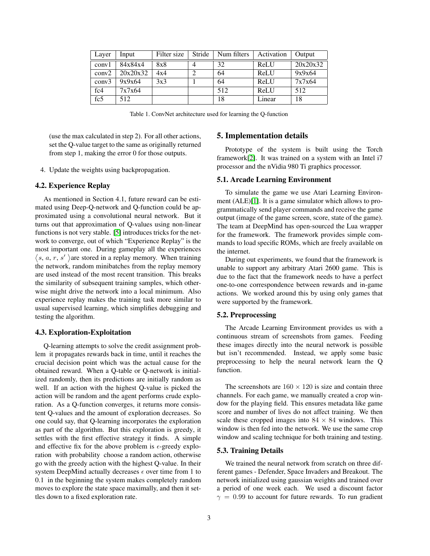| Layer | Input    | Filter size | Stride | Num filters | Activation | Output   |
|-------|----------|-------------|--------|-------------|------------|----------|
| conv1 | 84x84x4  | 8x8         |        | 32          | ReLU       | 20x20x32 |
| conv2 | 20x20x32 | 4x4         |        | 64          | ReLU       | 9x9x64   |
| conv3 | 9x9x64   | 3x3         |        | 64          | ReLU       | 7x7x64   |
| fc4   | 7x7x64   |             |        | 512         | ReLU       | 512      |
| fc5   | 512      |             |        | 18          | Linear     | 18       |

<span id="page-2-0"></span>Table 1. ConvNet architecture used for learning the Q-function

(use the max calculated in step 2). For all other actions, set the Q-value target to the same as originally returned from step 1, making the error 0 for those outputs.

4. Update the weights using backpropagation.

# 4.2. Experience Replay

As mentioned in Section 4.1, future reward can be estimated using Deep-Q-network and Q-function could be approximated using a convolutional neural network. But it turns out that approximation of Q-values using non-linear functions is not very stable. [\[5\]](#page-3-0) introduces tricks for the network to converge, out of which "Experience Replay" is the most important one. During gameplay all the experiences  $\langle s, a, r, s' \rangle$  are stored in a replay memory. When training the network, random minibatches from the replay memory are used instead of the most recent transition. This breaks the similarity of subsequent training samples, which otherwise might drive the network into a local minimum. Also experience replay makes the training task more similar to usual supervised learning, which simplifies debugging and testing the algorithm.

#### 4.3. Exploration-Exploitation

Q-learning attempts to solve the credit assignment problem it propagates rewards back in time, until it reaches the crucial decision point which was the actual cause for the obtained reward. When a Q-table or Q-network is initialized randomly, then its predictions are initially random as well. If an action with the highest Q-value is picked the action will be random and the agent performs crude exploration. As a Q-function converges, it returns more consistent Q-values and the amount of exploration decreases. So one could say, that Q-learning incorporates the exploration as part of the algorithm. But this exploration is greedy, it settles with the first effective strategy it finds. A simple and effective fix for the above problem is  $\epsilon$ -greedy exploration with probability choose a random action, otherwise go with the greedy action with the highest Q-value. In their system DeepMind actually decreases  $\epsilon$  over time from 1 to 0.1 in the beginning the system makes completely random moves to explore the state space maximally, and then it settles down to a fixed exploration rate.

# 5. Implementation details

Prototype of the system is built using the Torch framework[\[2\]](#page-3-2). It was trained on a system with an Intel i7 processor and the nVidia 980 Ti graphics processor.

### 5.1. Arcade Learning Environment

To simulate the game we use Atari Learning Environment (ALE)[\[1\]](#page-3-3). It is a game simulator which allows to programmatically send player commands and receive the game output (image of the game screen, score, state of the game). The team at DeepMind has open-sourced the Lua wrapper for the framework. The framework provides simple commands to load specific ROMs, which are freely available on the internet.

During out experiments, we found that the framework is unable to support any arbitrary Atari 2600 game. This is due to the fact that the framework needs to have a perfect one-to-one correspondence between rewards and in-game actions. We worked around this by using only games that were supported by the framework.

# 5.2. Preprocessing

The Arcade Learning Environment provides us with a continuous stream of screenshots from games. Feeding these images directly into the neural network is possible but isn't recommended. Instead, we apply some basic preprocessing to help the neural network learn the Q function.

The screenshots are  $160 \times 120$  is size and contain three channels. For each game, we manually created a crop window for the playing field. This ensures metadata like game score and number of lives do not affect training. We then scale these cropped images into  $84 \times 84$  windows. This window is then fed into the network. We use the same crop window and scaling technique for both training and testing.

### 5.3. Training Details

We trained the neural network from scratch on three different games - Defender, Space Invaders and Breakout. The network initialized using gaussian weights and trained over a period of one week each. We used a discount factor  $\gamma = 0.99$  to account for future rewards. To run gradient